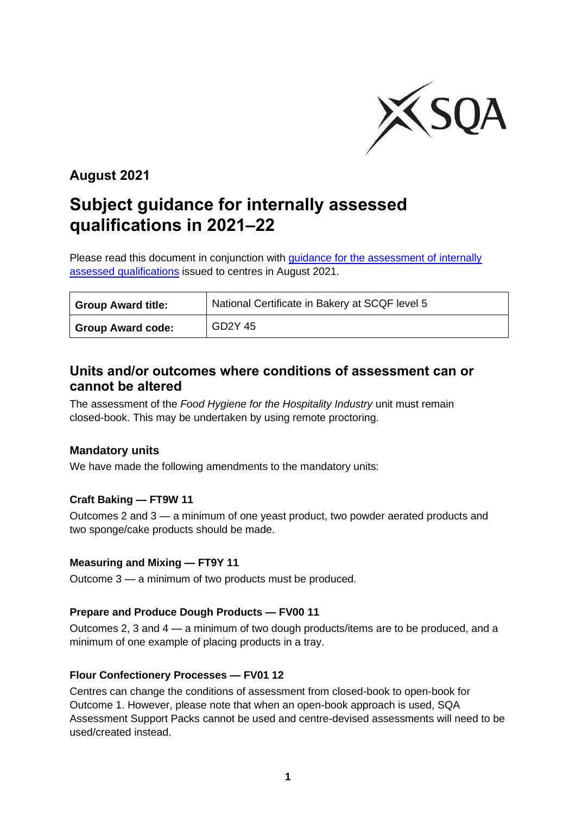

## **August 2021**

# **Subject guidance for internally assessed qualifications in 2021–22**

Please read this document in conjunction with *guidance for the assessment of internally* [assessed qualifications](https://www.sqa.org.uk/sqa/95044.html) issued to centres in August 2021.

| <b>Group Award title:</b> | National Certificate in Bakery at SCQF level 5 |
|---------------------------|------------------------------------------------|
| <b>Group Award code:</b>  | GD2Y 45                                        |

### **Units and/or outcomes where conditions of assessment can or cannot be altered**

The assessment of the *Food Hygiene for the Hospitality Industry* unit must remain closed-book. This may be undertaken by using remote proctoring.

#### **Mandatory units**

We have made the following amendments to the mandatory units:

#### **Craft Baking — FT9W 11**

Outcomes 2 and 3 — a minimum of one yeast product, two powder aerated products and two sponge/cake products should be made.

#### **Measuring and Mixing — FT9Y 11**

Outcome 3 — a minimum of two products must be produced.

#### **Prepare and Produce Dough Products — FV00 11**

Outcomes 2, 3 and 4 — a minimum of two dough products/items are to be produced, and a minimum of one example of placing products in a tray.

#### **Flour Confectionery Processes — FV01 12**

Centres can change the conditions of assessment from closed-book to open-book for Outcome 1. However, please note that when an open-book approach is used, SQA Assessment Support Packs cannot be used and centre-devised assessments will need to be used/created instead.